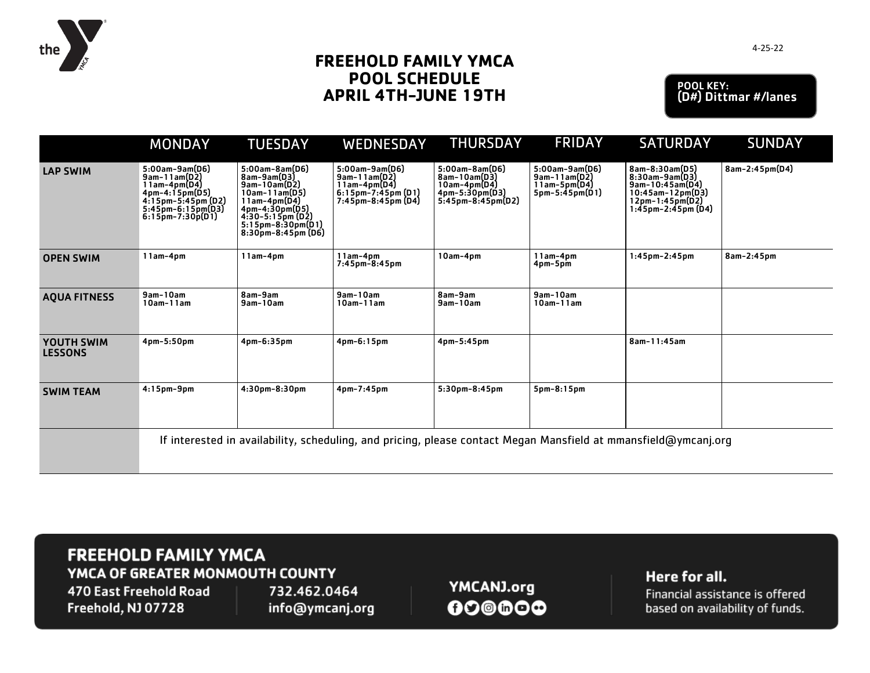

## **FREEHOLD FAMILY YMCA POOL SCHEDULE APRIL 4TH-JUNE 19TH**

POOL KEY: (D#) Dittmar #/lanes

|                              | <b>MONDAY</b>                                                                                                                           | <b>TUESDAY</b>                                                                                                                                                                     | WEDNESDAY                                                                                         | <b>THURSDAY</b>                                                                           | <b>FRIDAY</b>                                                      | <b>SATURDAY</b>                                                                                                       | <b>SUNDAY</b>  |  |  |  |
|------------------------------|-----------------------------------------------------------------------------------------------------------------------------------------|------------------------------------------------------------------------------------------------------------------------------------------------------------------------------------|---------------------------------------------------------------------------------------------------|-------------------------------------------------------------------------------------------|--------------------------------------------------------------------|-----------------------------------------------------------------------------------------------------------------------|----------------|--|--|--|
| <b>LAP SWIM</b>              | $5:00am-9am(D6)$<br>9am-11am(D2)<br>11am-4pm(D4)<br>4pm-4:15pm(D5)<br>4:15pm-5:45pm (D2)<br>$5:45$ pm-6:15pm(D3)<br>$6:15$ pm-7:30p(D1) | $5:00am-8am(D6)$<br>8am-9am(D3)<br>$9am-10am(D2)$<br>$10am-11am(D5)$<br>$11am-4pm(D4)$<br>$4pm-4:30pm(D5)$<br>$4:30-5:15pm (D2)$<br>$5:15pm-8:30pm(D1)$<br>$8:30$ pm-8:45pm $(D6)$ | $5:00am-9am(D6)$<br>$9am-11am(D2)$<br>11am-4pm(D4)<br>6:15pm-7:45pm (D1)<br>$7:45$ pm-8:45pm (D4) | $5:00am - 8am(D6)$<br>8am-10am(D3)<br>10am-4pm(D4)<br>4pm-5:30pm(D3)<br>5:45pm-8:45pm(D2) | 5:00am-9am(D6)<br>$9am-11am(D2)$<br>11am-5pm(D4)<br>5pm-5:45pm(D1) | 8am-8:30am(D5)<br>$8:30am-9am(D3)$<br>9am-10:45am(D4)<br>$10:45$ am-12pm(D3)<br>12pm-1:45pm(D2)<br>1:45pm-2:45pm (D4) | 8am-2:45pm(D4) |  |  |  |
| <b>OPEN SWIM</b>             | $11am-4pm$                                                                                                                              | $11am-4pm$                                                                                                                                                                         | $11am-4pm$<br>$7:45pm-8:45pm$                                                                     | $10am-4pm$                                                                                | $11am-4pm$<br>4pm-5pm                                              | $1:45$ pm $-2:45$ pm                                                                                                  | 8am-2:45pm     |  |  |  |
| <b>AQUA FITNESS</b>          | $9am-10am$<br>$10am-11am$                                                                                                               | 8am-9am<br>$9am-10am$                                                                                                                                                              | $9am-10am$<br>$10am-11am$                                                                         | 8am-9am<br>9am-10am                                                                       | $9am-10am$<br>$10am-11am$                                          |                                                                                                                       |                |  |  |  |
| YOUTH SWIM<br><b>LESSONS</b> | 4pm-5:50pm                                                                                                                              | 4pm-6:35pm                                                                                                                                                                         | $4pm-6:15pm$                                                                                      | 4pm-5:45pm                                                                                |                                                                    | 8am-11:45am                                                                                                           |                |  |  |  |
| <b>SWIM TEAM</b>             | $4:15$ pm-9pm                                                                                                                           | 4:30pm-8:30pm                                                                                                                                                                      | 4pm-7:45pm                                                                                        | 5:30pm-8:45pm                                                                             | 5pm-8:15pm                                                         |                                                                                                                       |                |  |  |  |
|                              | If interested in availability, scheduling, and pricing, please contact Megan Mansfield at mmansfield@ymcanj.org                         |                                                                                                                                                                                    |                                                                                                   |                                                                                           |                                                                    |                                                                                                                       |                |  |  |  |

## **FREEHOLD FAMILY YMCA** YMCA OF GREATER MONMOUTH COUNTY

470 East Freehold Road Freehold, NJ 07728

732.462.0464 info@ymcanj.org

YMCANJ.org  $00@00@$  Here for all.

Financial assistance is offered based on availability of funds.